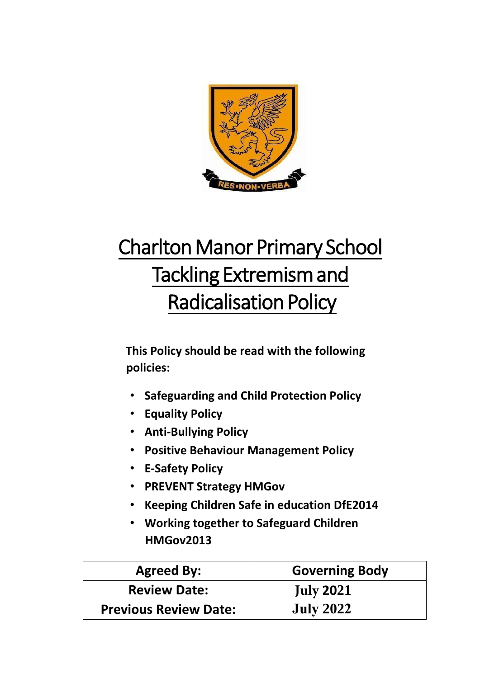

# Charlton Manor Primary School Tackling Extremism and Radicalisation Policy

**This Policy should be read with the following policies:** 

- **Safeguarding and Child Protection Policy**
- **Equality Policy**
- **Anti-Bullying Policy**
- **Positive Behaviour Management Policy**
- **E-Safety Policy**
- **PREVENT Strategy HMGov**
- **Keeping Children Safe in education DfE2014**
- **Working together to Safeguard Children HMGov2013**

| <b>Agreed By:</b>            | <b>Governing Body</b> |
|------------------------------|-----------------------|
| <b>Review Date:</b>          | <b>July 2021</b>      |
| <b>Previous Review Date:</b> | <b>July 2022</b>      |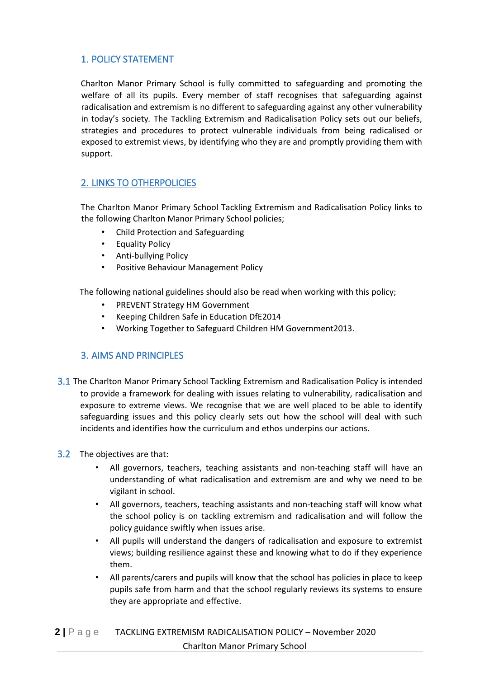## 1. POLICY STATEMENT

Charlton Manor Primary School is fully committed to safeguarding and promoting the welfare of all its pupils. Every member of staff recognises that safeguarding against radicalisation and extremism is no different to safeguarding against any other vulnerability in today's society*.* The Tackling Extremism and Radicalisation Policy sets out our beliefs, strategies and procedures to protect vulnerable individuals from being radicalised or exposed to extremist views, by identifying who they are and promptly providing them with support.

## 2. LINKS TO OTHERPOLICIES

The Charlton Manor Primary School Tackling Extremism and Radicalisation Policy links to the following Charlton Manor Primary School policies;

- Child Protection and Safeguarding
- Equality Policy
- Anti-bullying Policy
- Positive Behaviour Management Policy

The following national guidelines should also be read when working with this policy;

- PREVENT Strategy HM Government
- Keeping Children Safe in Education DfE2014
- Working Together to Safeguard Children HM Government2013.

## 3. AIMS AND PRINCIPLES

3.1 The Charlton Manor Primary School Tackling Extremism and Radicalisation Policy is intended to provide a framework for dealing with issues relating to vulnerability, radicalisation and exposure to extreme views. We recognise that we are well placed to be able to identify safeguarding issues and this policy clearly sets out how the school will deal with such incidents and identifies how the curriculum and ethos underpins our actions.

#### 3.2 The objectives are that:

- All governors, teachers, teaching assistants and non-teaching staff will have an understanding of what radicalisation and extremism are and why we need to be vigilant in school.
- All governors, teachers, teaching assistants and non-teaching staff will know what the school policy is on tackling extremism and radicalisation and will follow the policy guidance swiftly when issues arise.
- All pupils will understand the dangers of radicalisation and exposure to extremist views; building resilience against these and knowing what to do if they experience them.
- All parents/carers and pupils will know that the school has policies in place to keep pupils safe from harm and that the school regularly reviews its systems to ensure they are appropriate and effective.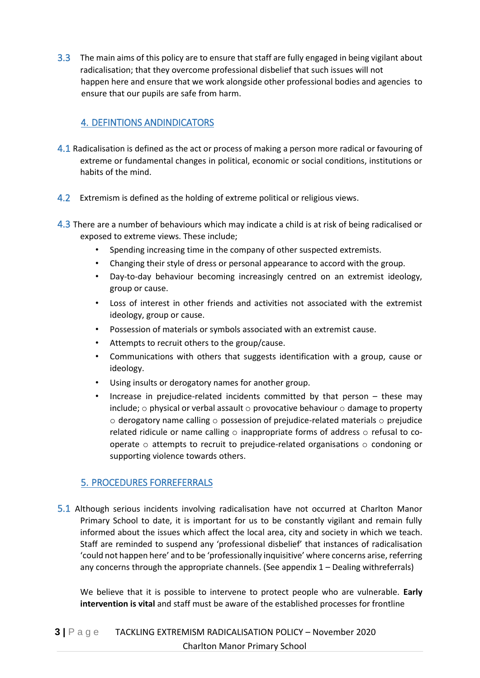3.3 The main aims of this policy are to ensure that staff are fully engaged in being vigilant about radicalisation; that they overcome professional disbelief that such issues will not happen here and ensure that we work alongside other professional bodies and agencies to ensure that our pupils are safe from harm.

## 4. DEFINTIONS ANDINDICATORS

- 4.1 Radicalisation is defined as the act or process of making a person more radical or favouring of extreme or fundamental changes in political, economic or social conditions, institutions or habits of the mind.
- 4.2 Extremism is defined as the holding of extreme political or religious views.
- 4.3 There are a number of behaviours which may indicate a child is at risk of being radicalised or exposed to extreme views. These include;
	- Spending increasing time in the company of other suspected extremists.
	- Changing their style of dress or personal appearance to accord with the group.
	- Day-to-day behaviour becoming increasingly centred on an extremist ideology, group or cause.
	- Loss of interest in other friends and activities not associated with the extremist ideology, group or cause.
	- Possession of materials or symbols associated with an extremist cause.
	- Attempts to recruit others to the group/cause.
	- Communications with others that suggests identification with a group, cause or ideology.
	- Using insults or derogatory names for another group.
	- Increase in prejudice-related incidents committed by that person  $-$  these may include;  $\circ$  physical or verbal assault  $\circ$  provocative behaviour  $\circ$  damage to property  $\circ$  derogatory name calling  $\circ$  possession of prejudice-related materials  $\circ$  prejudice related ridicule or name calling  $\circ$  inappropriate forms of address  $\circ$  refusal to cooperate  $\circ$  attempts to recruit to prejudice-related organisations  $\circ$  condoning or supporting violence towards others.

## 5. PROCEDURES FORREFERRALS

5.1 Although serious incidents involving radicalisation have not occurred at Charlton Manor Primary School to date, it is important for us to be constantly vigilant and remain fully informed about the issues which affect the local area, city and society in which we teach. Staff are reminded to suspend any 'professional disbelief' that instances of radicalisation 'could not happen here' and to be 'professionally inquisitive' where concerns arise, referring any concerns through the appropriate channels. (See appendix 1 – Dealing withreferrals)

 We believe that it is possible to intervene to protect people who are vulnerable. **Early intervention is vital** and staff must be aware of the established processes for frontline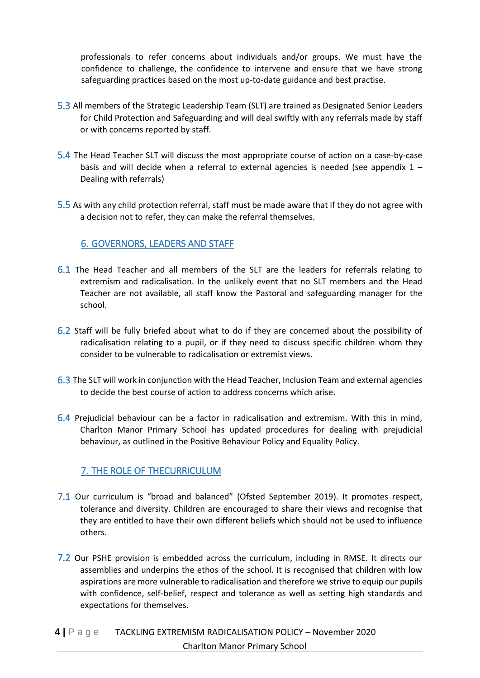professionals to refer concerns about individuals and/or groups. We must have the confidence to challenge, the confidence to intervene and ensure that we have strong safeguarding practices based on the most up-to-date guidance and best practise.

- 5.3 All members of the Strategic Leadership Team (SLT) are trained as Designated Senior Leaders for Child Protection and Safeguarding and will deal swiftly with any referrals made by staff or with concerns reported by staff.
- 5.4 The Head Teacher SLT will discuss the most appropriate course of action on a case-by-case basis and will decide when a referral to external agencies is needed (see appendix  $1 -$ Dealing with referrals)
- 5.5 As with any child protection referral, staff must be made aware that if they do not agree with a decision not to refer, they can make the referral themselves.

## 6. GOVERNORS, LEADERS AND STAFF

- 6.1 The Head Teacher and all members of the SLT are the leaders for referrals relating to extremism and radicalisation. In the unlikely event that no SLT members and the Head Teacher are not available, all staff know the Pastoral and safeguarding manager for the school.
- 6.2 Staff will be fully briefed about what to do if they are concerned about the possibility of radicalisation relating to a pupil, or if they need to discuss specific children whom they consider to be vulnerable to radicalisation or extremist views.
- 6.3 The SLT will work in conjunction with the Head Teacher, Inclusion Team and external agencies to decide the best course of action to address concerns which arise.
- 6.4 Prejudicial behaviour can be a factor in radicalisation and extremism. With this in mind, Charlton Manor Primary School has updated procedures for dealing with prejudicial behaviour, as outlined in the Positive Behaviour Policy and Equality Policy.

## 7. THE ROLE OF THECURRICULUM

- 7.1 Our curriculum is "broad and balanced" (Ofsted September 2019). It promotes respect, tolerance and diversity. Children are encouraged to share their views and recognise that they are entitled to have their own different beliefs which should not be used to influence others.
- 7.2 Our PSHE provision is embedded across the curriculum, including in RMSE. It directs our assemblies and underpins the ethos of the school. It is recognised that children with low aspirations are more vulnerable to radicalisation and therefore we strive to equip our pupils with confidence, self-belief, respect and tolerance as well as setting high standards and expectations for themselves.

## **4 |** P a g e TACKLING EXTREMISM RADICALISATION POLICY – November 2020 Charlton Manor Primary School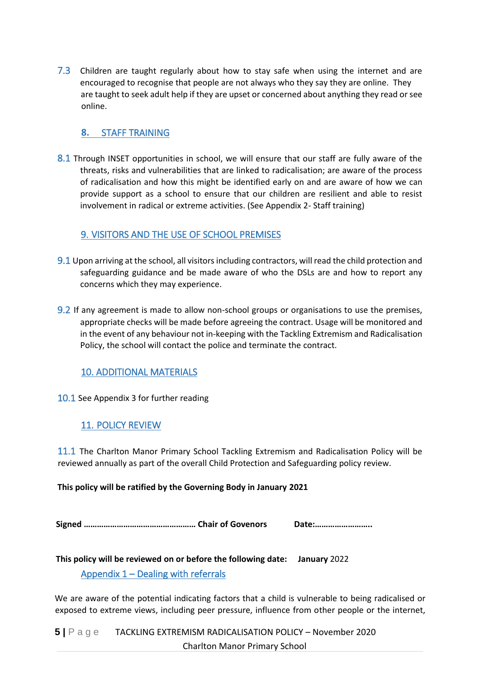7.3 Children are taught regularly about how to stay safe when using the internet and are encouraged to recognise that people are not always who they say they are online. They are taught to seek adult help if they are upset or concerned about anything they read or see online.

#### **8.** STAFF TRAINING

8.1 Through INSET opportunities in school, we will ensure that our staff are fully aware of the threats, risks and vulnerabilities that are linked to radicalisation; are aware of the process of radicalisation and how this might be identified early on and are aware of how we can provide support as a school to ensure that our children are resilient and able to resist involvement in radical or extreme activities. (See Appendix 2- Staff training)

#### 9. VISITORS AND THE USE OF SCHOOL PREMISES

- 9.1 Upon arriving at the school, all visitors including contractors, will read the child protection and safeguarding guidance and be made aware of who the DSLs are and how to report any concerns which they may experience.
- 9.2 If any agreement is made to allow non-school groups or organisations to use the premises, appropriate checks will be made before agreeing the contract. Usage will be monitored and in the event of any behaviour not in-keeping with the Tackling Extremism and Radicalisation Policy, the school will contact the police and terminate the contract.

## 10. ADDITIONAL MATERIALS

#### 10.1 See Appendix 3 for further reading

#### 11. POLICY REVIEW

11.1 The Charlton Manor Primary School Tackling Extremism and Radicalisation Policy will be reviewed annually as part of the overall Child Protection and Safeguarding policy review.

#### **This policy will be ratified by the Governing Body in January 2021**

**Signed …………………………………………… Chair of Govenors Date:……………………..** 

**This policy will be reviewed on or before the following date: January** 2022 Appendix 1 – Dealing with referrals

We are aware of the potential indicating factors that a child is vulnerable to being radicalised or exposed to extreme views, including peer pressure, influence from other people or the internet,

**5 |** P a g e TACKLING EXTREMISM RADICALISATION POLICY – November 2020 Charlton Manor Primary School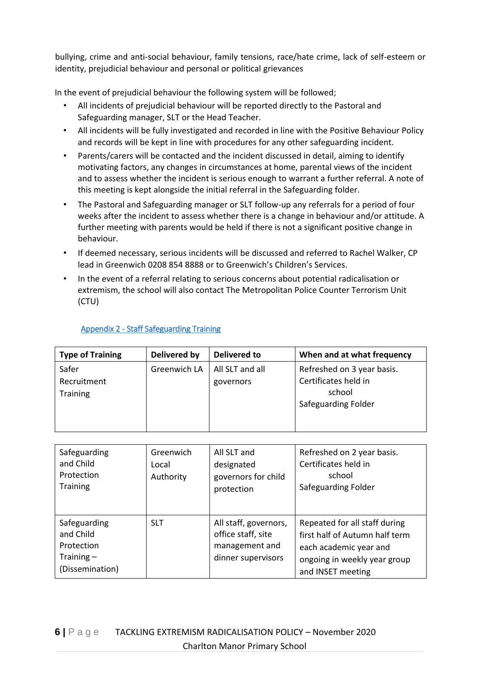bullying, crime and anti-social behaviour, family tensions, race/hate crime, lack of self-esteem or identity, prejudicial behaviour and personal or political grievances

In the event of prejudicial behaviour the following system will be followed;

- All incidents of prejudicial behaviour will be reported directly to the Pastoral and Safeguarding manager, SLT or the Head Teacher.
- All incidents will be fully investigated and recorded in line with the Positive Behaviour Policy and records will be kept in line with procedures for any other safeguarding incident.
- Parents/carers will be contacted and the incident discussed in detail, aiming to identify motivating factors, any changes in circumstances at home, parental views of the incident and to assess whether the incident is serious enough to warrant a further referral. A note of this meeting is kept alongside the initial referral in the Safeguarding folder.
- The Pastoral and Safeguarding manager or SLT follow-up any referrals for a period of four weeks after the incident to assess whether there is a change in behaviour and/or attitude. A further meeting with parents would be held if there is not a significant positive change in behaviour.
- If deemed necessary, serious incidents will be discussed and referred to Rachel Walker, CP lead in Greenwich 0208 854 8888 or to Greenwich's Children's Services.
- In the event of a referral relating to serious concerns about potential radicalisation or extremism, the school will also contact The Metropolitan Police Counter Terrorism Unit (CTU)

| <b>Type of Training</b> | Delivered by | <b>Delivered to</b> | When and at what frequency |
|-------------------------|--------------|---------------------|----------------------------|
| Safer                   | Greenwich LA | All SLT and all     | Refreshed on 3 year basis. |
| Recruitment             |              | governors           | Certificates held in       |
| <b>Training</b>         |              |                     | school                     |
|                         |              |                     | Safeguarding Folder        |
|                         |              |                     |                            |
|                         |              |                     |                            |

#### Appendix 2 - Staff Safeguarding Training

| Safeguarding<br>and Child<br>Protection<br><b>Training</b>                 | Greenwich<br>Local<br>Authority | All SLT and<br>designated<br>governors for child<br>protection                      | Refreshed on 2 year basis.<br>Certificates held in<br>school<br>Safeguarding Folder                                                            |
|----------------------------------------------------------------------------|---------------------------------|-------------------------------------------------------------------------------------|------------------------------------------------------------------------------------------------------------------------------------------------|
| Safeguarding<br>and Child<br>Protection<br>Training $-$<br>(Dissemination) | <b>SLT</b>                      | All staff, governors,<br>office staff, site<br>management and<br>dinner supervisors | Repeated for all staff during<br>first half of Autumn half term<br>each academic year and<br>ongoing in weekly year group<br>and INSET meeting |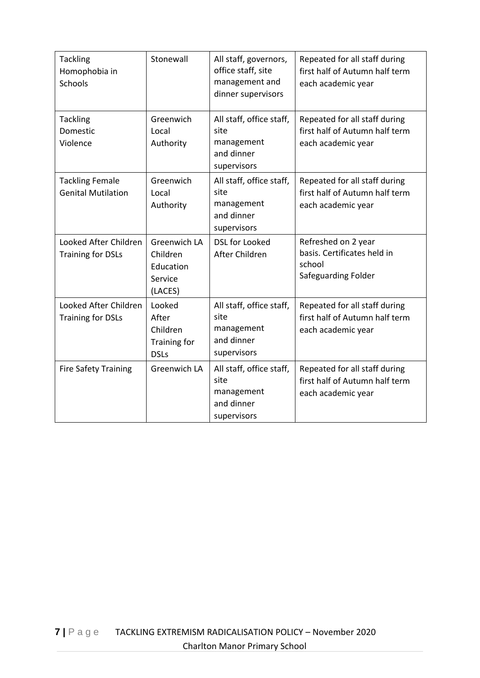| <b>Tackling</b><br>Homophobia in<br>Schools         | Stonewall                                                          | All staff, governors,<br>office staff, site<br>management and<br>dinner supervisors | Repeated for all staff during<br>first half of Autumn half term<br>each academic year |
|-----------------------------------------------------|--------------------------------------------------------------------|-------------------------------------------------------------------------------------|---------------------------------------------------------------------------------------|
| <b>Tackling</b><br>Domestic<br>Violence             | Greenwich<br>Local<br>Authority                                    | All staff, office staff,<br>site<br>management<br>and dinner<br>supervisors         | Repeated for all staff during<br>first half of Autumn half term<br>each academic year |
| <b>Tackling Female</b><br><b>Genital Mutilation</b> | Greenwich<br>Local<br>Authority                                    | All staff, office staff,<br>site<br>management<br>and dinner<br>supervisors         | Repeated for all staff during<br>first half of Autumn half term<br>each academic year |
| Looked After Children<br><b>Training for DSLs</b>   | <b>Greenwich LA</b><br>Children<br>Education<br>Service<br>(LACES) | <b>DSL for Looked</b><br>After Children                                             | Refreshed on 2 year<br>basis. Certificates held in<br>school<br>Safeguarding Folder   |
| Looked After Children<br><b>Training for DSLs</b>   | Looked<br>After<br>Children<br>Training for<br><b>DSLs</b>         | All staff, office staff,<br>site<br>management<br>and dinner<br>supervisors         | Repeated for all staff during<br>first half of Autumn half term<br>each academic year |
| <b>Fire Safety Training</b>                         | Greenwich LA                                                       | All staff, office staff,<br>site<br>management<br>and dinner<br>supervisors         | Repeated for all staff during<br>first half of Autumn half term<br>each academic year |